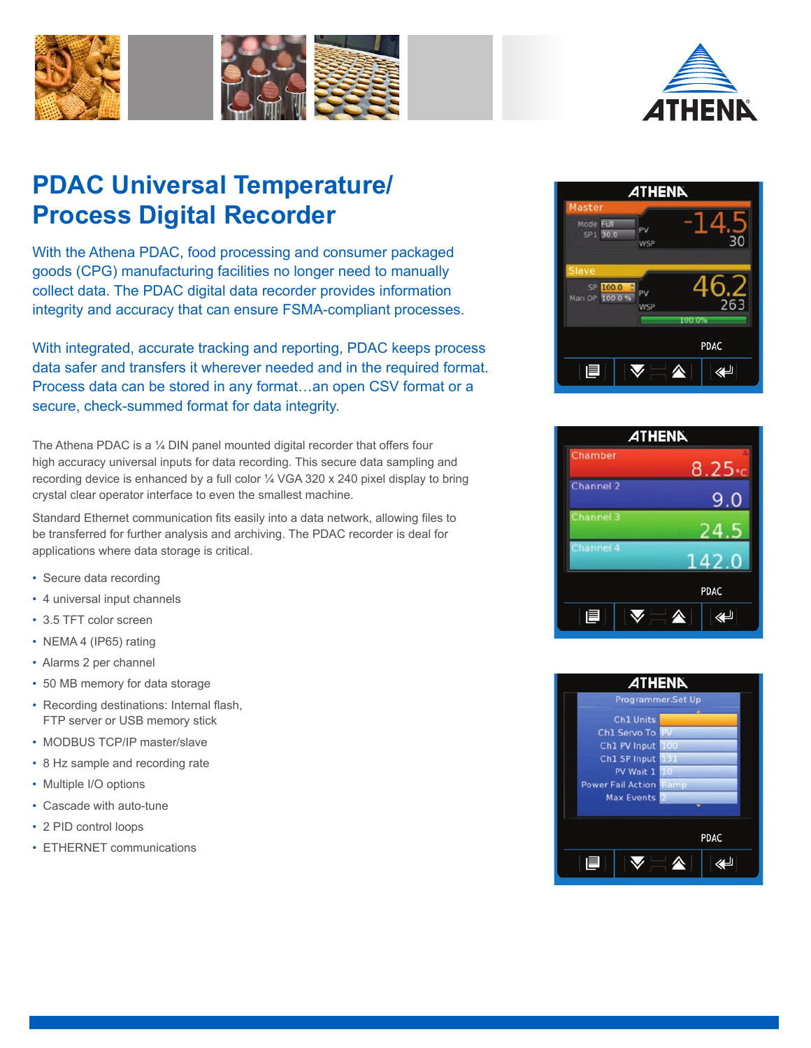



# **PDAC Universal Temperature/ Process Digital Recorder**

With the Athena PDAC, food processing and consumer packaged goods (CPG) manufacturing facilities no longer need to manually collect data. The PDAC digital data recorder provides information integrity and accuracy that can ensure FSMA-compliant processes.

With integrated, accurate tracking and reporting, PDAC keeps process data safer and transfers it wherever needed and in the required format. Process data can be stored in any format…an open CSV format or a secure, check-summed format for data integrity.

The Athena PDAC is a 1/4 DIN panel mounted digital recorder that offers four high accuracy universal inputs for data recording. This secure data sampling and recording device is enhanced by a full color ¼ VGA 320 x 240 pixel display to bring crystal clear operator interface to even the smallest machine.

Standard Ethernet communication fits easily into a data network, allowing files to be transferred for further analysis and archiving. The PDAC recorder is deal for applications where data storage is critical.

- Secure data recording
- 4 universal input channels
- 3.5 TFT color screen
- NEMA 4 (IP65) rating
- Alarms 2 per channel
- 50 MB memory for data storage
- Recording destinations: Internal flash, FTP server or USB memory stick
- MODBUS TCP/IP master/slave
- 8 Hz sample and recording rate
- Multiple I/O options
- Cascade with auto-tune
- 2 PID control loops
- ETHERNET communications





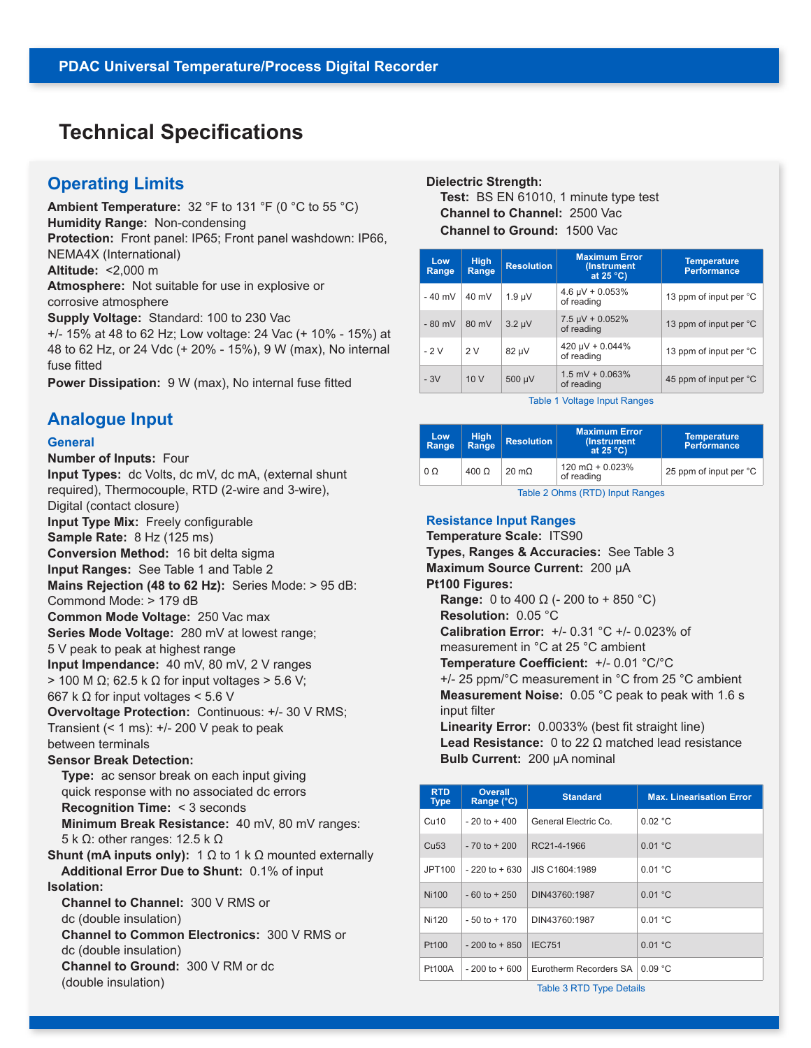# **Technical Specifications**

### **Operating Limits**

**Ambient Temperature:** 32 °F to 131 °F (0 °C to 55 °C) **Humidity Range:** Non-condensing **Protection:** Front panel: IP65; Front panel washdown: IP66, NEMA4X (International) **Altitude:** <2,000 m **Atmosphere:** Not suitable for use in explosive or corrosive atmosphere **Supply Voltage:** Standard: 100 to 230 Vac +/- 15% at 48 to 62 Hz; Low voltage: 24 Vac (+ 10% - 15%) at 48 to 62 Hz, or 24 Vdc (+ 20% - 15%), 9 W (max), No internal fuse fitted

**Power Dissipation:** 9 W (max), No internal fuse fitted

### **Analogue Input**

#### **General**

**Number of Inputs:** Four **Input Types:** dc Volts, dc mV, dc mA, (external shunt required), Thermocouple, RTD (2-wire and 3-wire), Digital (contact closure) **Input Type Mix:** Freely configurable **Sample Rate:** 8 Hz (125 ms) **Conversion Method:** 16 bit delta sigma **Input Ranges:** See Table 1 and Table 2 **Mains Rejection (48 to 62 Hz):** Series Mode: > 95 dB: Commond Mode: > 179 dB **Common Mode Voltage:** 250 Vac max **Series Mode Voltage:** 280 mV at lowest range; 5 V peak to peak at highest range **Input Impendance:** 40 mV, 80 mV, 2 V ranges  $>$  100 M Ω; 62.5 k Ω for input voltages  $>$  5.6 V; 667 k  $\Omega$  for input voltages < 5.6 V **Overvoltage Protection:** Continuous: +/- 30 V RMS; Transient (< 1 ms): +/- 200 V peak to peak between terminals **Sensor Break Detection: Type:** ac sensor break on each input giving quick response with no associated dc errors  **Recognition Time:** < 3 seconds  **Minimum Break Resistance:** 40 mV, 80 mV ranges: 5 k Ω: other ranges: 12.5 k Ω **Shunt (mA inputs only):** 1 Ω to 1 k Ω mounted externally  **Additional Error Due to Shunt:** 0.1% of input **Isolation: Channel to Channel:** 300 V RMS or dc (double insulation)  **Channel to Common Electronics:** 300 V RMS or dc (double insulation)  **Channel to Ground:** 300 V RM or dc (double insulation)

#### **Dielectric Strength:**

 **Test:** BS EN 61010, 1 minute type test  **Channel to Channel:** 2500 Vac  **Channel to Ground:** 1500 Vac

| Low<br>Range | <b>High</b><br>Range | <b>Resolution</b> | <b>Maximum Error</b><br>(Instrument<br>at $25^{\circ}$ C) | <b>Temperature</b><br><b>Performance</b> |
|--------------|----------------------|-------------------|-----------------------------------------------------------|------------------------------------------|
| $-40$ mV     | $40 \text{ mV}$      | $1.9 \mu V$       | $4.6 \mu V + 0.053\%$<br>of reading                       | 13 ppm of input per °C                   |
| $-80$ mV     | 80 mV                | $3.2 \mu V$       | $7.5 \mu V + 0.052\%$<br>of reading                       | 13 ppm of input per °C                   |
| $-2V$        | 2V                   | 82 µV             | 420 µV + 0.044%<br>of reading                             | 13 ppm of input per °C                   |
| $-3V$        | 10V                  | 500 µV            | $1.5$ mV + 0.063%<br>of reading                           | 45 ppm of input per °C                   |

Table 1 Voltage Input Ranges

| Low<br>Range | <b>High</b><br>Range | <b>Resolution</b> | <b>Maximum Error</b><br>(Instrument)<br>at $25^{\circ}$ C) | <b>Temperature</b><br><b>Performance</b> |
|--------------|----------------------|-------------------|------------------------------------------------------------|------------------------------------------|
| $0\Omega$    | $400 \Omega$         | $20 \text{ m}$    | $120 \text{ mA} + 0.023\%$<br>of reading                   | 25 ppm of input per °C                   |

Table 2 Ohms (RTD) Input Ranges

#### **Resistance Input Ranges**

**Temperature Scale:** ITS90 **Types, Ranges & Accuracies:** See Table 3 **Maximum Source Current:** 200 μA **Pt100 Figures: Range:** 0 to 400  $\Omega$  (- 200 to + 850 °C)  **Resolution:** 0.05 °C  **Calibration Error:** +/- 0.31 °C +/- 0.023% of measurement in °C at 25 °C ambient  **Temperature Coefficient:** +/- 0.01 °C/°C +/- 25 ppm/°C measurement in °C from 25 °C ambient  **Measurement Noise:** 0.05 °C peak to peak with 1.6 s input filter  **Linearity Error:** 0.0033% (best fit straight line)

 **Lead Resistance:** 0 to 22 Ω matched lead resistance  **Bulb Current:** 200 μA nominal

| <b>RTD</b><br><b>Type</b> | Overall<br>Range (°C) | <b>Standard</b>        | <b>Max. Linearisation Error</b> |  |
|---------------------------|-----------------------|------------------------|---------------------------------|--|
| Cu10                      | $-20$ to $+400$       | General Electric Co.   | 0.02 °C                         |  |
| Cu <sub>53</sub>          | $-70$ to $+200$       | RC21-4-1966            | 0.01 °C                         |  |
| JPT100                    | $-220$ to $+630$      | JIS C1604:1989         | 0.01 °C                         |  |
| Ni100                     | $-60$ to $+250$       | DIN43760:1987          | 0.01 °C                         |  |
| Ni120                     | $-50$ to $+170$       | DIN43760:1987          | 0.01 °C                         |  |
| Pt100                     | $-200$ to $+850$      | <b>IEC751</b>          | 0.01 °C                         |  |
| <b>Pt100A</b>             | $-200$ to $+600$      | Eurotherm Recorders SA | 0.09 °C                         |  |

Table 3 RTD Type Details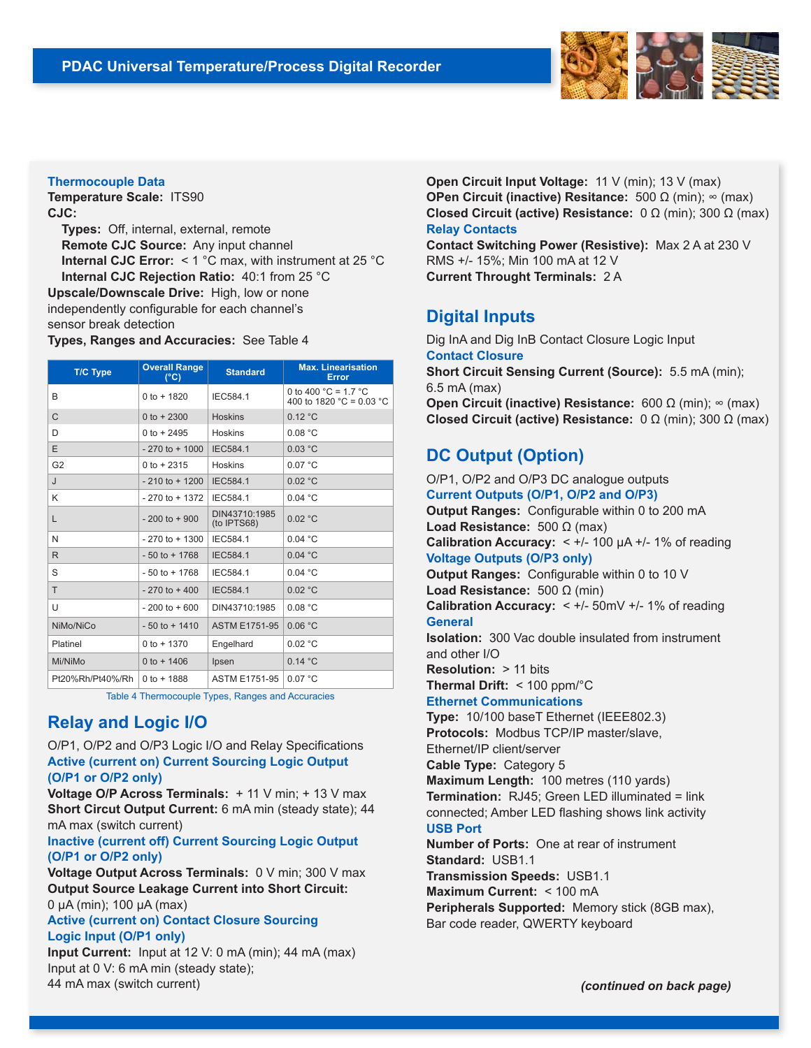

#### **Thermocouple Data**

**Temperature Scale:** ITS90 **CJC:** 

 **Types:** Off, internal, external, remote  **Remote CJC Source:** Any input channel  **Internal CJC Error:** < 1 °C max, with instrument at 25 °C  **Internal CJC Rejection Ratio:** 40:1 from 25 °C **Upscale/Downscale Drive:** High, low or none independently configurable for each channel's sensor break detection

**Types, Ranges and Accuracies:** See Table 4

| <b>T/C Type</b>  | <b>Overall Range</b><br>$(^{\circ}C)$ | <b>Standard</b>              | <b>Max. Linearisation</b><br>Error                                   |
|------------------|---------------------------------------|------------------------------|----------------------------------------------------------------------|
| B                | $0$ to + 1820                         | IEC584.1                     | 0 to 400 $^{\circ}$ C = 1.7 $^{\circ}$ C<br>400 to 1820 °C = 0.03 °C |
| $\mathsf{C}$     | 0 to $+2300$                          | <b>Hoskins</b>               | 0.12 °C                                                              |
| D                | $0$ to + 2495                         | <b>Hoskins</b>               | 0.08 °C                                                              |
| E                | $-270$ to $+1000$                     | <b>IEC584.1</b>              | 0.03 °C                                                              |
| G <sub>2</sub>   | $0$ to + 2315                         | <b>Hoskins</b>               | 0.07 °C                                                              |
| $\mathsf{L}$     | $-210$ to $+1200$                     | <b>IEC584.1</b>              | 0.02 °C                                                              |
| K                | $-270$ to $+1372$                     | IEC584.1                     | 0.04 °C                                                              |
| L                | $-200$ to $+900$                      | DIN43710:1985<br>(to IPTS68) | 0.02 °C                                                              |
| N                | $-270$ to $+1300$                     | IEC584.1                     | 0.04 °C                                                              |
| R.               | $-50$ to $+1768$                      | <b>IEC584.1</b>              | 0.04 °C                                                              |
| S                | $-50$ to $+1768$                      | IEC584.1                     | 0.04 °C                                                              |
| T                | $-270$ to $+400$                      | <b>IEC584.1</b>              | 0.02 °C                                                              |
| U                | $-200$ to $+600$                      | DIN43710:1985                | 0.08 °C                                                              |
| NiMo/NiCo        | $-50$ to $+1410$                      | <b>ASTM E1751-95</b>         | 0.06 °C                                                              |
| Platinel         | $0$ to $+$ 1370                       | Engelhard                    | 0.02 °C                                                              |
| Mi/NiMo          | 0 to $+ 1406$                         | Ipsen                        | 0.14 °C                                                              |
| Pt20%Rh/Pt40%/Rh | 0 to $+ 1888$                         | <b>ASTM E1751-95</b>         | 0.07 °C                                                              |

Table 4 Thermocouple Types, Ranges and Accuracies

# **Relay and Logic I/O**

O/P1, O/P2 and O/P3 Logic I/O and Relay Specifications **Active (current on) Current Sourcing Logic Output (O/P1 or O/P2 only)**

**Voltage O/P Across Terminals:** + 11 V min; + 13 V max **Short Circut Output Current:** 6 mA min (steady state); 44 mA max (switch current)

#### **Inactive (current off) Current Sourcing Logic Output (O/P1 or O/P2 only)**

**Voltage Output Across Terminals:** 0 V min; 300 V max **Output Source Leakage Current into Short Circuit:**  0 μA (min); 100 μA (max)

#### **Active (current on) Contact Closure Sourcing Logic Input (O/P1 only)**

**Input Current:** Input at 12 V: 0 mA (min); 44 mA (max) Input at 0 V: 6 mA min (steady state); 44 mA max (switch current)

**Open Circuit Input Voltage:** 11 V (min); 13 V (max) **OPen Circuit (inactive) Resitance:** 500 Ω (min); ∞ (max) **Closed Circuit (active) Resistance:** 0 Ω (min); 300 Ω (max) **Relay Contacts**

**Contact Switching Power (Resistive):** Max 2 A at 230 V RMS +/- 15%; Min 100 mA at 12 V **Current Throught Terminals:** 2 A

## **Digital Inputs**

Dig InA and Dig InB Contact Closure Logic Input **Contact Closure Short Circuit Sensing Current (Source):** 5.5 mA (min); 6.5 mA (max) **Open Circuit (inactive) Resistance:** 600 Ω (min); ∞ (max) **Closed Circuit (active) Resistance:** 0 Ω (min); 300 Ω (max)

# **DC Output (Option)**

O/P1, O/P2 and O/P3 DC analogue outputs **Current Outputs (O/P1, O/P2 and O/P3) Output Ranges:** Configurable within 0 to 200 mA **Load Resistance:** 500 Ω (max) **Calibration Accuracy:** < +/- 100 μA +/- 1% of reading **Voltage Outputs (O/P3 only) Output Ranges:** Configurable within 0 to 10 V **Load Resistance:** 500 Ω (min) **Calibration Accuracy:** < +/- 50mV +/- 1% of reading **General Isolation:** 300 Vac double insulated from instrument and other I/O **Resolution:** > 11 bits **Thermal Drift:** < 100 ppm/°C **Ethernet Communications Type:** 10/100 baseT Ethernet (IEEE802.3) **Protocols:** Modbus TCP/IP master/slave, Ethernet/IP client/server **Cable Type:** Category 5 **Maximum Length:** 100 metres (110 yards) **Termination:** RJ45; Green LED illuminated = link connected; Amber LED flashing shows link activity **USB Port Number of Ports:** One at rear of instrument **Standard:** USB1.1 **Transmission Speeds:** USB1.1 **Maximum Current:** < 100 mA **Peripherals Supported:** Memory stick (8GB max), Bar code reader, QWERTY keyboard